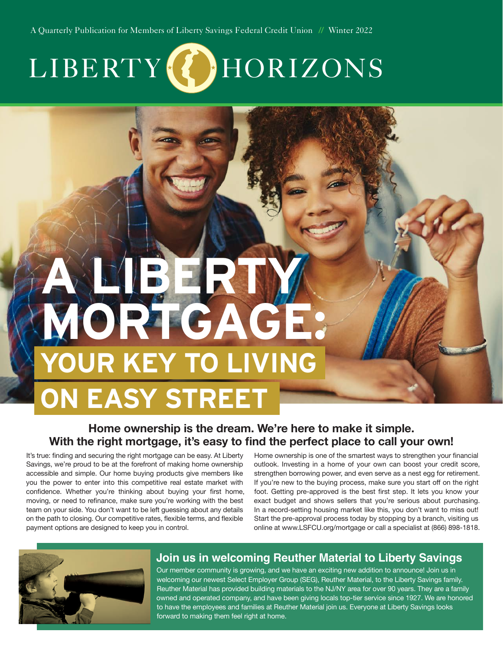A Quarterly Publication for Members of Liberty Savings Federal Credit Union *//* Winter 2022

# LIBERTY (*L*)HORIZONS

# **A LIBERTY MORTGAGE: OUR KEY TO LIVING ON EASY STREET**

#### **Home ownership is the dream. We're here to make it simple. With the right mortgage, it's easy to find the perfect place to call your own!**

It's true: finding and securing the right mortgage can be easy. At Liberty Savings, we're proud to be at the forefront of making home ownership accessible and simple. Our home buying products give members like you the power to enter into this competitive real estate market with confidence. Whether you're thinking about buying your first home, moving, or need to refinance, make sure you're working with the best team on your side. You don't want to be left guessing about any details on the path to closing. Our competitive rates, flexible terms, and flexible payment options are designed to keep you in control.

Home ownership is one of the smartest ways to strengthen your financial outlook. Investing in a home of your own can boost your credit score, strengthen borrowing power, and even serve as a nest egg for retirement. If you're new to the buying process, make sure you start off on the right foot. Getting pre-approved is the best first step. It lets you know your exact budget and shows sellers that you're serious about purchasing. In a record-setting housing market like this, you don't want to miss out! Start the pre-approval process today by stopping by a branch, visiting us online at www.LSFCU.org/mortgage or call a specialist at (866) 898-1818.



#### **Join us in welcoming Reuther Material to Liberty Savings**

Our member community is growing, and we have an exciting new addition to announce! Join us in welcoming our newest Select Employer Group (SEG), Reuther Material, to the Liberty Savings family. Reuther Material has provided building materials to the NJ/NY area for over 90 years. They are a family owned and operated company, and have been giving locals top-tier service since 1927. We are honored to have the employees and families at Reuther Material join us. Everyone at Liberty Savings looks forward to making them feel right at home.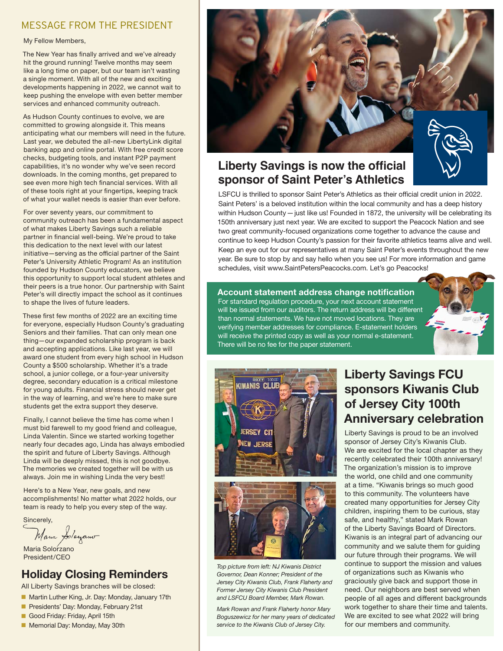#### MESSAGE FROM THE PRESIDENT

#### My Fellow Members,

The New Year has finally arrived and we've already hit the ground running! Twelve months may seem like a long time on paper, but our team isn't wasting a single moment. With all of the new and exciting developments happening in 2022, we cannot wait to keep pushing the envelope with even better member services and enhanced community outreach.

As Hudson County continues to evolve, we are committed to growing alongside it. This means anticipating what our members will need in the future. Last year, we debuted the all-new LibertyLink digital banking app and online portal. With free credit score checks, budgeting tools, and instant P2P payment capabilities, it's no wonder why we've seen record downloads. In the coming months, get prepared to see even more high tech financial services. With all of these tools right at your fingertips, keeping track of what your wallet needs is easier than ever before.

For over seventy years, our commitment to community outreach has been a fundamental aspect of what makes Liberty Savings such a reliable partner in financial well-being. We're proud to take this dedication to the next level with our latest initiative—serving as the official partner of the Saint Peter's University Athletic Program! As an institution founded by Hudson County educators, we believe this opportunity to support local student athletes and their peers is a true honor. Our partnership with Saint Peter's will directly impact the school as it continues to shape the lives of future leaders.

These first few months of 2022 are an exciting time for everyone, especially Hudson County's graduating Seniors and their families. That can only mean one thing—our expanded scholarship program is back and accepting applications. Like last year, we will award one student from every high school in Hudson County a \$500 scholarship. Whether it's a trade school, a junior college, or a four-year university degree, secondary education is a critical milestone for young adults. Financial stress should never get in the way of learning, and we're here to make sure students get the extra support they deserve.

Finally, I cannot believe the time has come when I must bid farewell to my good friend and colleague, Linda Valentin. Since we started working together nearly four decades ago, Linda has always embodied the spirit and future of Liberty Savings. Although Linda will be deeply missed, this is not goodbye. The memories we created together will be with us always. Join me in wishing Linda the very best!

Here's to a New Year, new goals, and new accomplishments! No matter what 2022 holds, our team is ready to help you every step of the way.

Sincerely,

Mana Solayano

Maria Solorzano President/CEO

#### **Holiday Closing Reminders**

All Liberty Savings branches will be closed:

- Martin Luther King, Jr. Day: Monday, January 17th
- Presidents' Day: Monday, February 21st
- Good Friday: Friday, April 15th
- Memorial Day: Monday, May 30th



#### **Liberty Savings is now the official sponsor of Saint Peter's Athletics**

LSFCU is thrilled to sponsor Saint Peter's Athletics as their official credit union in 2022. Saint Peters' is a beloved institution within the local community and has a deep history within Hudson County — just like us! Founded in 1872, the university will be celebrating its 150th anniversary just next year. We are excited to support the Peacock Nation and see two great community-focused organizations come together to advance the cause and continue to keep Hudson County's passion for their favorite athletics teams alive and well. Keep an eye out for our representatives at many Saint Peter's events throughout the new year. Be sure to stop by and say hello when you see us! For more information and game schedules, visit www.SaintPetersPeacocks.com. Let's go Peacocks!

#### **Account statement address change notification**

For standard regulation procedure, your next account statement will be issued from our auditors. The return address will be different than normal statements. We have not moved locations. They are verifying member addresses for compliance. E-statement holders will receive the printed copy as well as your normal e-statement. There will be no fee for the paper statement.



*Top picture from left: NJ Kiwanis District Governor, Dean Konner; President of the Jersey City Kiwanis Club, Frank Flaherty and Former Jersey City Kiwanis Club President and LSFCU Board Member, Mark Rowan.* 

*Mark Rowan and Frank Flaherty honor Mary Boguszewicz for her many years of dedicated service to the Kiwanis Club of Jersey City.*

## **Liberty Savings FCU sponsors Kiwanis Club of Jersey City 100th Anniversary celebration**

Liberty Savings is proud to be an involved sponsor of Jersey City's Kiwanis Club. We are excited for the local chapter as they recently celebrated their 100th anniversary! The organization's mission is to improve the world, one child and one community at a time. "Kiwanis brings so much good to this community. The volunteers have created many opportunities for Jersey City children, inspiring them to be curious, stay safe, and healthy," stated Mark Rowan of the Liberty Savings Board of Directors. Kiwanis is an integral part of advancing our community and we salute them for guiding our future through their programs. We will continue to support the mission and values of organizations such as Kiwanis who graciously give back and support those in need. Our neighbors are best served when people of all ages and different backgrounds work together to share their time and talents. We are excited to see what 2022 will bring for our members and community.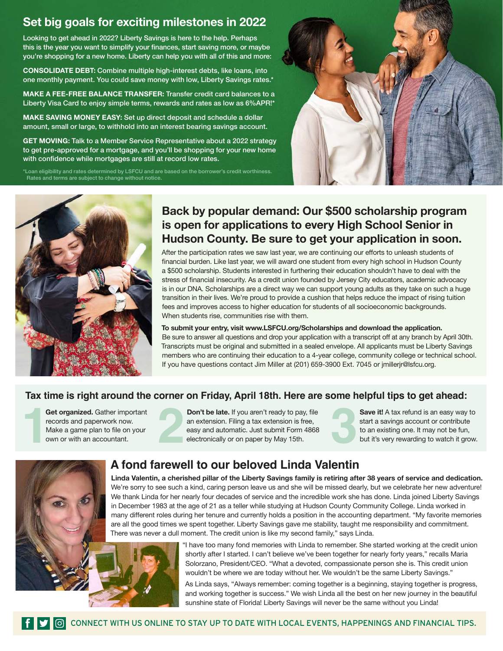### **Set big goals for exciting milestones in 2022**

Looking to get ahead in 2022? Liberty Savings is here to the help. Perhaps this is the year you want to simplify your finances, start saving more, or maybe you're shopping for a new home. Liberty can help you with all of this and more:

**CONSOLIDATE DEBT:** Combine multiple high-interest debts, like loans, into one monthly payment. You could save money with low, Liberty Savings rates.\*

**MAKE A FEE-FREE BALANCE TRANSFER:** Transfer credit card balances to a Liberty Visa Card to enjoy simple terms, rewards and rates as low as 6%APR!\*

**MAKE SAVING MONEY EASY:** Set up direct deposit and schedule a dollar amount, small or large, to withhold into an interest bearing savings account.

**GET MOVING:** Talk to a Member Service Representative about a 2022 strategy to get pre-approved for a mortgage, and you'll be shopping for your new home with confidence while mortgages are still at record low rates.

\*Loan eligibility and rates determined by LSFCU and are based on the borrower's credit worthiness. Rates and terms are subject to change without notice.





### **Back by popular demand: Our \$500 scholarship program is open for applications to every High School Senior in Hudson County. Be sure to get your application in soon.**

After the participation rates we saw last year, we are continuing our efforts to unleash students of financial burden. Like last year, we will award one student from every high school in Hudson County a \$500 scholarship. Students interested in furthering their education shouldn't have to deal with the stress of financial insecurity. As a credit union founded by Jersey City educators, academic advocacy is in our DNA. Scholarships are a direct way we can support young adults as they take on such a huge transition in their lives. We're proud to provide a cushion that helps reduce the impact of rising tuition fees and improves access to higher education for students of all socioeconomic backgrounds. When students rise, communities rise with them.

**To submit your entry, visit www.LSFCU.org/Scholarships and download the application.**  Be sure to answer all questions and drop your application with a transcript off at any branch by April 30th. Transcripts must be original and submitted in a sealed envelope. All applicants must be Liberty Savings members who are continuing their education to a 4-year college, community college or technical school. If you have questions contact Jim Miller at (201) 659-3900 Ext. 7045 or jmillerjr@lsfcu.org.

#### **Tax time is right around the corner on Friday, April 18th. Here are some helpful tips to get ahead:**

records and paperwork now. Get organized. Gather important<br>records and paperwork now.<br>Make a game plan to file on your<br>own or with an accountant.

**Don't be late.** If you aren't ready to pay, file an extension. Filing a tax extension is free, easy and automatic. Just submit Form 4868 electronically or on paper by May 15th. **22 Get organized.** Gather important records and paperwork now.<br>
Make a game plan to file on your Make a game plan to file on your electronically or on paper by May 15th.<br>
May 15th.

**Save it!** A tax refund is an easy way to start a savings account or contribute to an existing one. It may not be fun, but it's very rewarding to watch it grow.

## **A fond farewell to our beloved Linda Valentin**

**Linda Valentin, a cherished pillar of the Liberty Savings family is retiring after 38 years of service and dedication.**  We're sorry to see such a kind, caring person leave us and she will be missed dearly, but we celebrate her new adventure! We thank Linda for her nearly four decades of service and the incredible work she has done. Linda joined Liberty Savings in December 1983 at the age of 21 as a teller while studying at Hudson County Community College. Linda worked in many different roles during her tenure and currently holds a position in the accounting department. "My favorite memories are all the good times we spent together. Liberty Savings gave me stability, taught me responsibility and commitment. There was never a dull moment. The credit union is like my second family," says Linda.



"I have too many fond memories with Linda to remember. She started working at the credit union shortly after I started. I can't believe we've been together for nearly forty years," recalls Maria Solorzano, President/CEO. "What a devoted, compassionate person she is. This credit union wouldn't be where we are today without her. We wouldn't be the same Liberty Savings."

As Linda says, "Always remember: coming together is a beginning, staying together is progress, and working together is success." We wish Linda all the best on her new journey in the beautiful sunshine state of Florida! Liberty Savings will never be the same without you Linda!